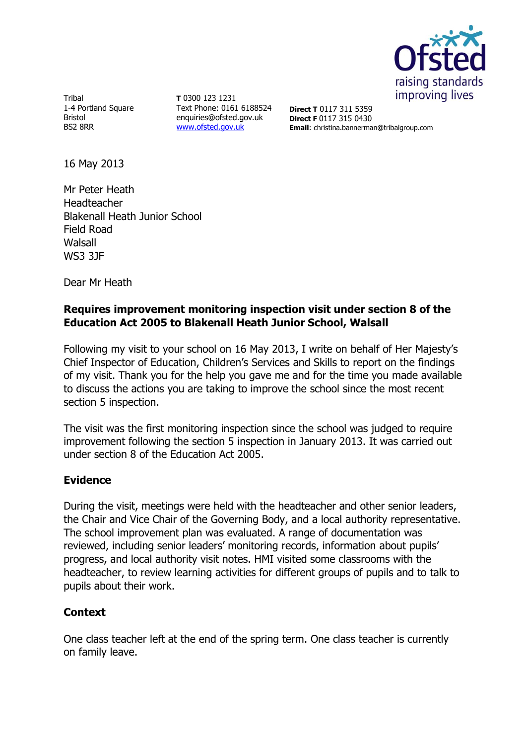

Tribal 1-4 Portland Square Bristol BS2 8RR

**T** 0300 123 1231 Text Phone: 0161 6188524 enquiries@ofsted.gov.uk [www.ofsted.gov.uk](http://www.ofsted.gov.uk/)

**Direct T** 0117 311 5359 **Direct F** 0117 315 0430 **Email**: christina.bannerman@tribalgroup.com

16 May 2013

Mr Peter Heath Headteacher Blakenall Heath Junior School Field Road **Walsall** WS3 3JF

Dear Mr Heath

# **Requires improvement monitoring inspection visit under section 8 of the Education Act 2005 to Blakenall Heath Junior School, Walsall**

Following my visit to your school on 16 May 2013, I write on behalf of Her Majesty's Chief Inspector of Education, Children's Services and Skills to report on the findings of my visit. Thank you for the help you gave me and for the time you made available to discuss the actions you are taking to improve the school since the most recent section 5 inspection.

The visit was the first monitoring inspection since the school was judged to require improvement following the section 5 inspection in January 2013. It was carried out under section 8 of the Education Act 2005.

### **Evidence**

During the visit, meetings were held with the headteacher and other senior leaders, the Chair and Vice Chair of the Governing Body, and a local authority representative. The school improvement plan was evaluated. A range of documentation was reviewed, including senior leaders' monitoring records, information about pupils' progress, and local authority visit notes. HMI visited some classrooms with the headteacher, to review learning activities for different groups of pupils and to talk to pupils about their work.

### **Context**

One class teacher left at the end of the spring term. One class teacher is currently on family leave.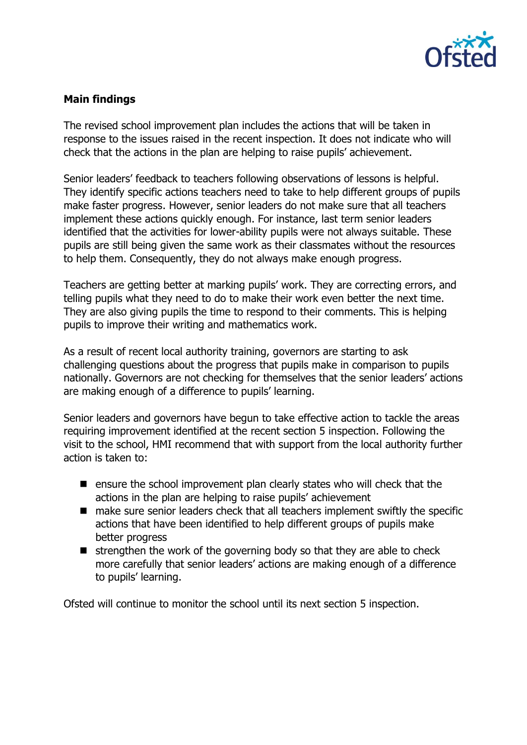

# **Main findings**

The revised school improvement plan includes the actions that will be taken in response to the issues raised in the recent inspection. It does not indicate who will check that the actions in the plan are helping to raise pupils' achievement.

Senior leaders' feedback to teachers following observations of lessons is helpful. They identify specific actions teachers need to take to help different groups of pupils make faster progress. However, senior leaders do not make sure that all teachers implement these actions quickly enough. For instance, last term senior leaders identified that the activities for lower-ability pupils were not always suitable. These pupils are still being given the same work as their classmates without the resources to help them. Consequently, they do not always make enough progress.

Teachers are getting better at marking pupils' work. They are correcting errors, and telling pupils what they need to do to make their work even better the next time. They are also giving pupils the time to respond to their comments. This is helping pupils to improve their writing and mathematics work.

As a result of recent local authority training, governors are starting to ask challenging questions about the progress that pupils make in comparison to pupils nationally. Governors are not checking for themselves that the senior leaders' actions are making enough of a difference to pupils' learning.

Senior leaders and governors have begun to take effective action to tackle the areas requiring improvement identified at the recent section 5 inspection. Following the visit to the school, HMI recommend that with support from the local authority further action is taken to:

- **E** ensure the school improvement plan clearly states who will check that the actions in the plan are helping to raise pupils' achievement
- make sure senior leaders check that all teachers implement swiftly the specific actions that have been identified to help different groups of pupils make better progress
- $\blacksquare$  strengthen the work of the governing body so that they are able to check more carefully that senior leaders' actions are making enough of a difference to pupils' learning.

Ofsted will continue to monitor the school until its next section 5 inspection.